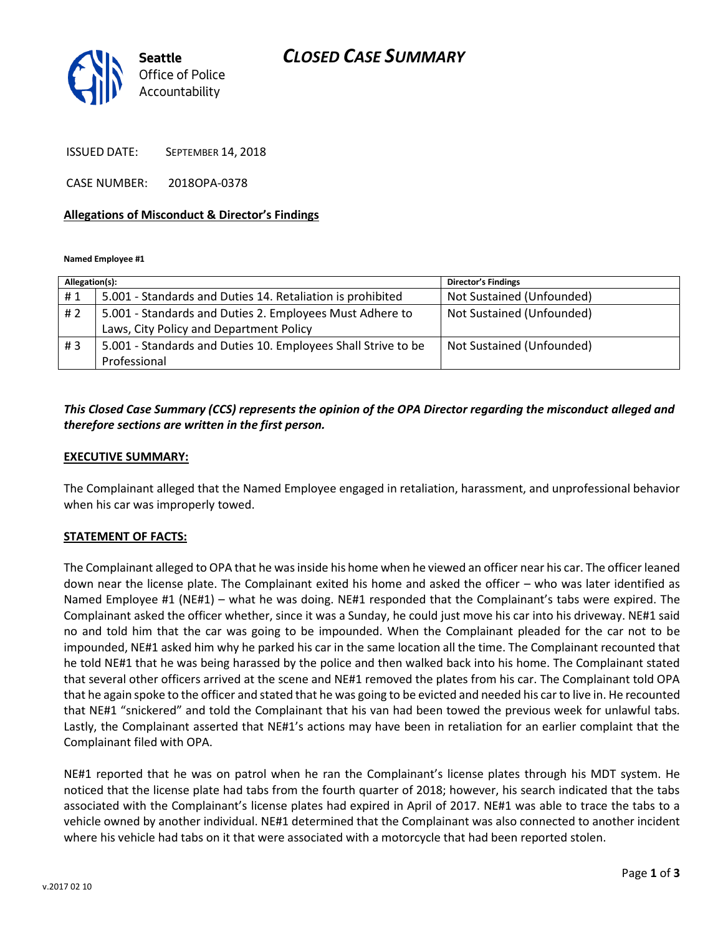## *CLOSED CASE SUMMARY*



ISSUED DATE: SEPTEMBER 14, 2018

CASE NUMBER: 2018OPA-0378

#### **Allegations of Misconduct & Director's Findings**

**Named Employee #1**

| Allegation(s): |                                                               | <b>Director's Findings</b> |
|----------------|---------------------------------------------------------------|----------------------------|
| #1             | 5.001 - Standards and Duties 14. Retaliation is prohibited    | Not Sustained (Unfounded)  |
| # $2$          | 5.001 - Standards and Duties 2. Employees Must Adhere to      | Not Sustained (Unfounded)  |
|                | Laws, City Policy and Department Policy                       |                            |
| #3             | 5.001 - Standards and Duties 10. Employees Shall Strive to be | Not Sustained (Unfounded)  |
|                | Professional                                                  |                            |

## *This Closed Case Summary (CCS) represents the opinion of the OPA Director regarding the misconduct alleged and therefore sections are written in the first person.*

#### **EXECUTIVE SUMMARY:**

The Complainant alleged that the Named Employee engaged in retaliation, harassment, and unprofessional behavior when his car was improperly towed.

### **STATEMENT OF FACTS:**

The Complainant alleged to OPA that he was inside his home when he viewed an officer near his car. The officer leaned down near the license plate. The Complainant exited his home and asked the officer – who was later identified as Named Employee #1 (NE#1) – what he was doing. NE#1 responded that the Complainant's tabs were expired. The Complainant asked the officer whether, since it was a Sunday, he could just move his car into his driveway. NE#1 said no and told him that the car was going to be impounded. When the Complainant pleaded for the car not to be impounded, NE#1 asked him why he parked his car in the same location all the time. The Complainant recounted that he told NE#1 that he was being harassed by the police and then walked back into his home. The Complainant stated that several other officers arrived at the scene and NE#1 removed the plates from his car. The Complainant told OPA that he again spoke to the officer and stated that he was going to be evicted and needed his car to live in. He recounted that NE#1 "snickered" and told the Complainant that his van had been towed the previous week for unlawful tabs. Lastly, the Complainant asserted that NE#1's actions may have been in retaliation for an earlier complaint that the Complainant filed with OPA.

NE#1 reported that he was on patrol when he ran the Complainant's license plates through his MDT system. He noticed that the license plate had tabs from the fourth quarter of 2018; however, his search indicated that the tabs associated with the Complainant's license plates had expired in April of 2017. NE#1 was able to trace the tabs to a vehicle owned by another individual. NE#1 determined that the Complainant was also connected to another incident where his vehicle had tabs on it that were associated with a motorcycle that had been reported stolen.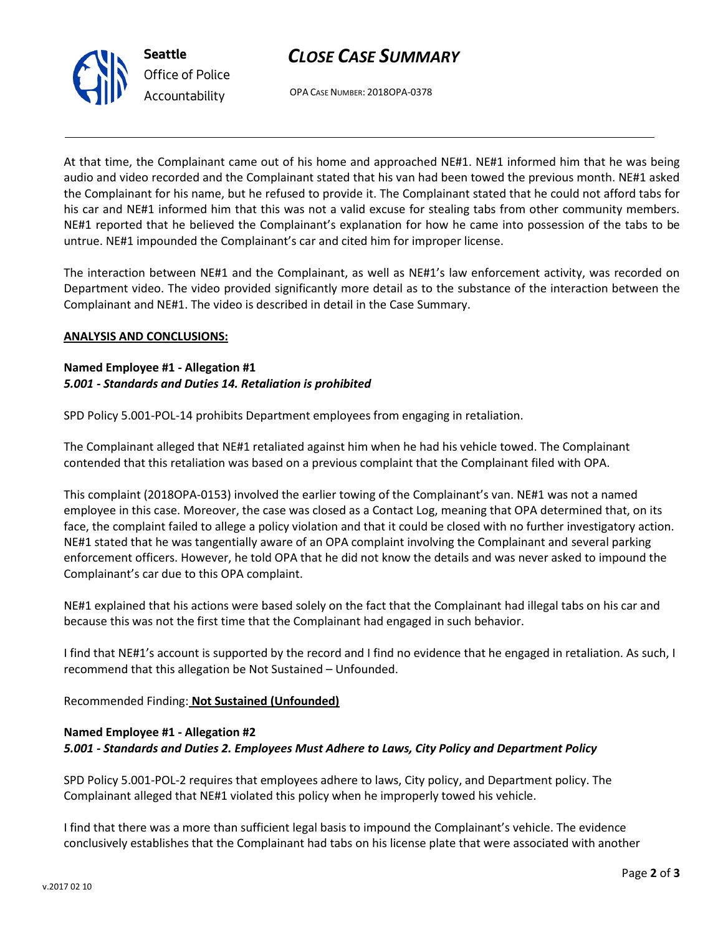# *CLOSE CASE SUMMARY*



OPA CASE NUMBER: 2018OPA-0378

At that time, the Complainant came out of his home and approached NE#1. NE#1 informed him that he was being audio and video recorded and the Complainant stated that his van had been towed the previous month. NE#1 asked the Complainant for his name, but he refused to provide it. The Complainant stated that he could not afford tabs for his car and NE#1 informed him that this was not a valid excuse for stealing tabs from other community members. NE#1 reported that he believed the Complainant's explanation for how he came into possession of the tabs to be untrue. NE#1 impounded the Complainant's car and cited him for improper license.

The interaction between NE#1 and the Complainant, as well as NE#1's law enforcement activity, was recorded on Department video. The video provided significantly more detail as to the substance of the interaction between the Complainant and NE#1. The video is described in detail in the Case Summary.

### **ANALYSIS AND CONCLUSIONS:**

## **Named Employee #1 - Allegation #1** *5.001 - Standards and Duties 14. Retaliation is prohibited*

SPD Policy 5.001-POL-14 prohibits Department employees from engaging in retaliation.

The Complainant alleged that NE#1 retaliated against him when he had his vehicle towed. The Complainant contended that this retaliation was based on a previous complaint that the Complainant filed with OPA.

This complaint (2018OPA-0153) involved the earlier towing of the Complainant's van. NE#1 was not a named employee in this case. Moreover, the case was closed as a Contact Log, meaning that OPA determined that, on its face, the complaint failed to allege a policy violation and that it could be closed with no further investigatory action. NE#1 stated that he was tangentially aware of an OPA complaint involving the Complainant and several parking enforcement officers. However, he told OPA that he did not know the details and was never asked to impound the Complainant's car due to this OPA complaint.

NE#1 explained that his actions were based solely on the fact that the Complainant had illegal tabs on his car and because this was not the first time that the Complainant had engaged in such behavior.

I find that NE#1's account is supported by the record and I find no evidence that he engaged in retaliation. As such, I recommend that this allegation be Not Sustained – Unfounded.

Recommended Finding: **Not Sustained (Unfounded)**

## **Named Employee #1 - Allegation #2** *5.001 - Standards and Duties 2. Employees Must Adhere to Laws, City Policy and Department Policy*

SPD Policy 5.001-POL-2 requires that employees adhere to laws, City policy, and Department policy. The Complainant alleged that NE#1 violated this policy when he improperly towed his vehicle.

I find that there was a more than sufficient legal basis to impound the Complainant's vehicle. The evidence conclusively establishes that the Complainant had tabs on his license plate that were associated with another